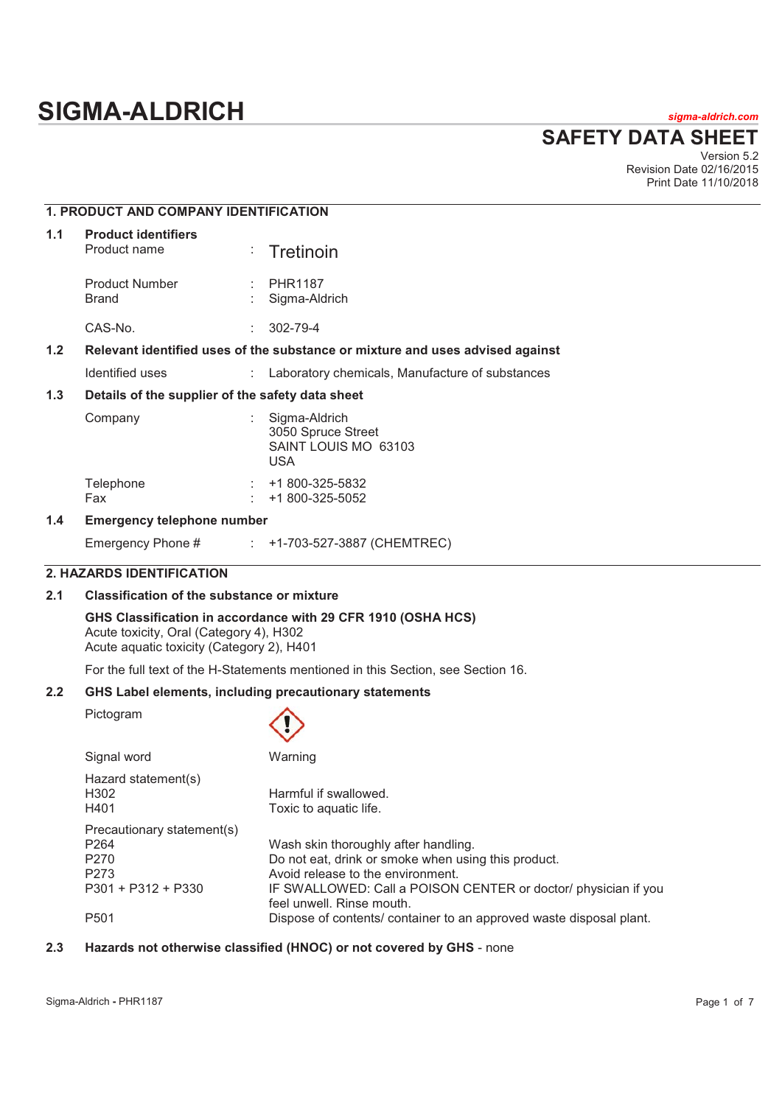# **SIGMA-ALDRICH** *sigma-aldrich.com*

**SAFETY DATA SHEET**

Version 5.2 Revision Date 02/16/2015 Print Date 11/10/2018

|                                                                                  | <b>1. PRODUCT AND COMPANY IDENTIFICATION</b>                                                                                                                                                              |    |                                                                           |  |
|----------------------------------------------------------------------------------|-----------------------------------------------------------------------------------------------------------------------------------------------------------------------------------------------------------|----|---------------------------------------------------------------------------|--|
| 1.1                                                                              | <b>Product identifiers</b><br>Product name                                                                                                                                                                |    | Tretinoin                                                                 |  |
|                                                                                  | <b>Product Number</b><br><b>Brand</b>                                                                                                                                                                     |    | <b>PHR1187</b><br>Sigma-Aldrich                                           |  |
|                                                                                  | CAS-No.                                                                                                                                                                                                   |    | 302-79-4                                                                  |  |
| 1.2                                                                              | Relevant identified uses of the substance or mixture and uses advised against                                                                                                                             |    |                                                                           |  |
|                                                                                  | Identified uses                                                                                                                                                                                           | ÷. | Laboratory chemicals, Manufacture of substances                           |  |
| 1.3                                                                              | Details of the supplier of the safety data sheet                                                                                                                                                          |    |                                                                           |  |
|                                                                                  | Company                                                                                                                                                                                                   |    | Sigma-Aldrich<br>3050 Spruce Street<br>SAINT LOUIS MO 63103<br><b>USA</b> |  |
|                                                                                  | Telephone<br>Fax                                                                                                                                                                                          |    | +1 800-325-5832<br>+1 800-325-5052                                        |  |
| 1.4                                                                              | <b>Emergency telephone number</b>                                                                                                                                                                         |    |                                                                           |  |
|                                                                                  | Emergency Phone #                                                                                                                                                                                         |    | +1-703-527-3887 (CHEMTREC)                                                |  |
|                                                                                  | <b>2. HAZARDS IDENTIFICATION</b>                                                                                                                                                                          |    |                                                                           |  |
| 2.1                                                                              | <b>Classification of the substance or mixture</b><br>GHS Classification in accordance with 29 CFR 1910 (OSHA HCS)<br>Acute toxicity, Oral (Category 4), H302<br>Acute aquatic toxicity (Category 2), H401 |    |                                                                           |  |
|                                                                                  |                                                                                                                                                                                                           |    |                                                                           |  |
| For the full text of the H-Statements mentioned in this Section, see Section 16. |                                                                                                                                                                                                           |    |                                                                           |  |
| 2.2                                                                              | GHS Label elements, including precautionary statements                                                                                                                                                    |    |                                                                           |  |
|                                                                                  | Pictogram                                                                                                                                                                                                 |    |                                                                           |  |
|                                                                                  | Signal word                                                                                                                                                                                               |    | Warning                                                                   |  |
|                                                                                  |                                                                                                                                                                                                           |    |                                                                           |  |

| Hazard statement(s)<br>H302<br>H401 | Harmful if swallowed.<br>Toxic to aquatic life.                                             |
|-------------------------------------|---------------------------------------------------------------------------------------------|
| Precautionary statement(s)          |                                                                                             |
| P <sub>264</sub>                    | Wash skin thoroughly after handling.                                                        |
| P270                                | Do not eat, drink or smoke when using this product.                                         |
| P <sub>273</sub>                    | Avoid release to the environment.                                                           |
| $P301 + P312 + P330$                | IF SWALLOWED: Call a POISON CENTER or doctor/ physician if you<br>feel unwell. Rinse mouth. |
| P <sub>501</sub>                    | Dispose of contents/ container to an approved waste disposal plant.                         |

# **2.3 Hazards not otherwise classified (HNOC) or not covered by GHS** - none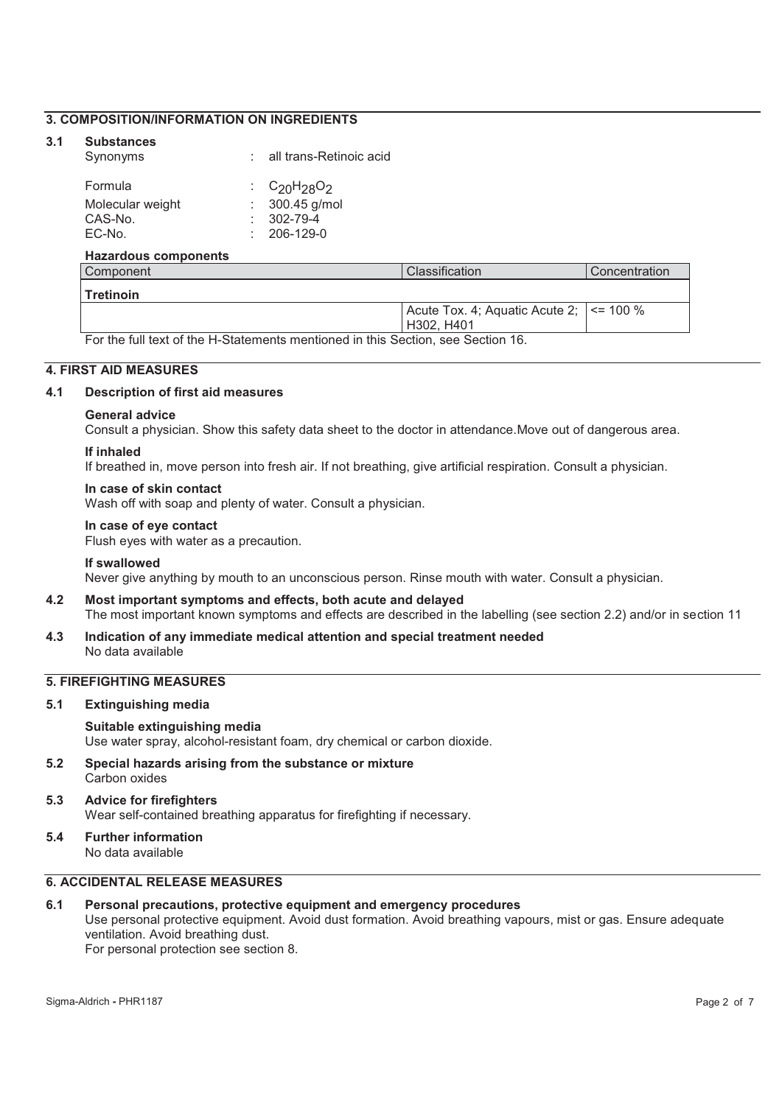# **3. COMPOSITION/INFORMATION ON INGREDIENTS**

#### **3.1 Substances**

|  | Synonyms | all trans-Retinoic acid |
|--|----------|-------------------------|
|--|----------|-------------------------|

| Formula          | : $C_{20}H_{28}O_2$ |
|------------------|---------------------|
| Molecular weight | $: 300.45$ g/mol    |
| CAS-No.          | $: 302 - 79 - 4$    |
| EC-No.           | $: 206-129-0$       |

#### **Hazardous components**

| Component     | Classification                                  | l Concentration |
|---------------|-------------------------------------------------|-----------------|
| l Tretinoin   |                                                 |                 |
|               | Acute Tox. 4; Aquatic Acute 2; $\vert$ <= 100 % |                 |
|               | H302, H401                                      |                 |
| $\sim$ $\sim$ | ___<br>.                                        |                 |

For the full text of the H-Statements mentioned in this Section, see Section 16.

# **4. FIRST AID MEASURES**

#### **4.1 Description of first aid measures**

#### **General advice**

Consult a physician. Show this safety data sheet to the doctor in attendance.Move out of dangerous area.

#### **If inhaled**

If breathed in, move person into fresh air. If not breathing, give artificial respiration. Consult a physician.

#### **In case of skin contact**

Wash off with soap and plenty of water. Consult a physician.

#### **In case of eye contact**

Flush eyes with water as a precaution.

#### **If swallowed**

Never give anything by mouth to an unconscious person. Rinse mouth with water. Consult a physician.

- **4.2 Most important symptoms and effects, both acute and delayed**  The most important known symptoms and effects are described in the labelling (see section 2.2) and/or in section 11
- **4.3 Indication of any immediate medical attention and special treatment needed**  No data available

# **5. FIREFIGHTING MEASURES**

**5.1 Extinguishing media** 

#### **Suitable extinguishing media**

Use water spray, alcohol-resistant foam, dry chemical or carbon dioxide.

**5.2 Special hazards arising from the substance or mixture**  Carbon oxides

#### **5.3 Advice for firefighters**  Wear self-contained breathing apparatus for firefighting if necessary.

**5.4 Further information**  No data available

# **6. ACCIDENTAL RELEASE MEASURES**

#### **6.1 Personal precautions, protective equipment and emergency procedures**

Use personal protective equipment. Avoid dust formation. Avoid breathing vapours, mist or gas. Ensure adequate ventilation. Avoid breathing dust.

For personal protection see section 8.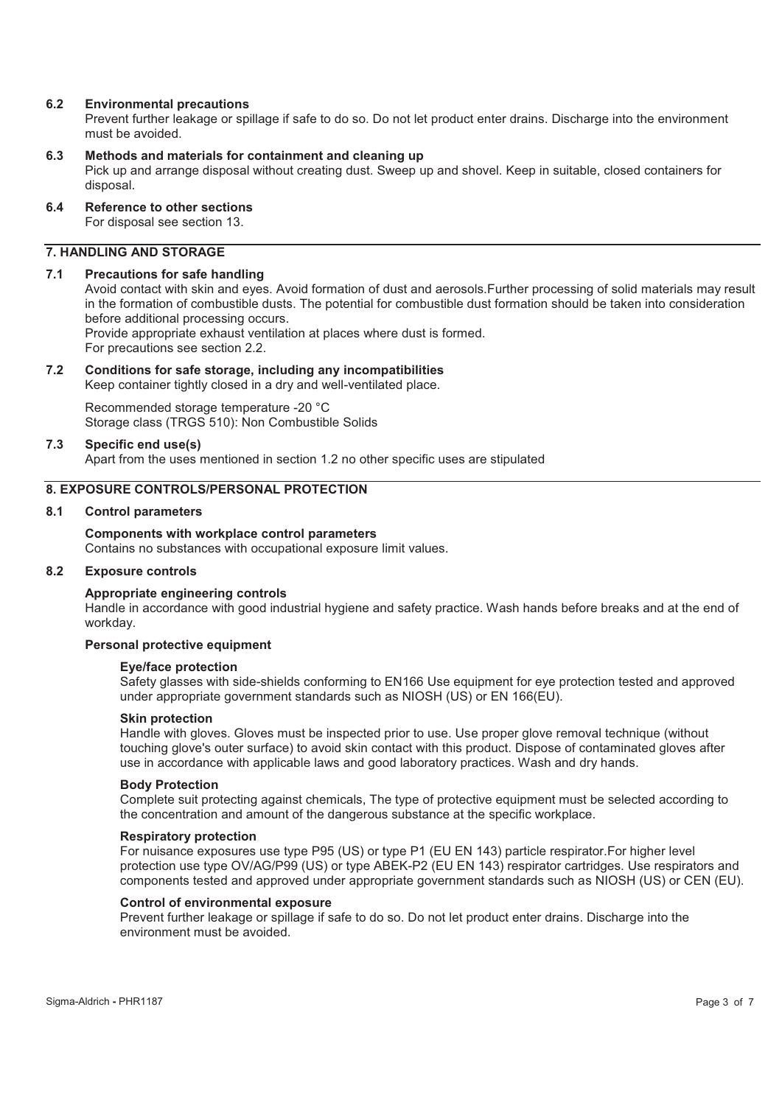#### **6.2 Environmental precautions**

Prevent further leakage or spillage if safe to do so. Do not let product enter drains. Discharge into the environment must be avoided.

## **6.3 Methods and materials for containment and cleaning up**

Pick up and arrange disposal without creating dust. Sweep up and shovel. Keep in suitable, closed containers for disposal.

# **6.4 Reference to other sections**

For disposal see section 13.

# **7. HANDLING AND STORAGE**

#### **7.1 Precautions for safe handling**

Avoid contact with skin and eyes. Avoid formation of dust and aerosols.Further processing of solid materials may result in the formation of combustible dusts. The potential for combustible dust formation should be taken into consideration before additional processing occurs. Provide appropriate exhaust ventilation at places where dust is formed. For precautions see section 2.2.

#### **7.2 Conditions for safe storage, including any incompatibilities**

Keep container tightly closed in a dry and well-ventilated place.

Recommended storage temperature -20 °C Storage class (TRGS 510): Non Combustible Solids

#### **7.3 Specific end use(s)**

Apart from the uses mentioned in section 1.2 no other specific uses are stipulated

# **8. EXPOSURE CONTROLS/PERSONAL PROTECTION**

#### **8.1 Control parameters**

**Components with workplace control parameters**  Contains no substances with occupational exposure limit values.

#### **8.2 Exposure controls**

#### **Appropriate engineering controls**

Handle in accordance with good industrial hygiene and safety practice. Wash hands before breaks and at the end of workday.

#### **Personal protective equipment**

#### **Eye/face protection**

Safety glasses with side-shields conforming to EN166 Use equipment for eye protection tested and approved under appropriate government standards such as NIOSH (US) or EN 166(EU).

#### **Skin protection**

Handle with gloves. Gloves must be inspected prior to use. Use proper glove removal technique (without touching glove's outer surface) to avoid skin contact with this product. Dispose of contaminated gloves after use in accordance with applicable laws and good laboratory practices. Wash and dry hands.

#### **Body Protection**

Complete suit protecting against chemicals, The type of protective equipment must be selected according to the concentration and amount of the dangerous substance at the specific workplace.

#### **Respiratory protection**

For nuisance exposures use type P95 (US) or type P1 (EU EN 143) particle respirator.For higher level protection use type OV/AG/P99 (US) or type ABEK-P2 (EU EN 143) respirator cartridges. Use respirators and components tested and approved under appropriate government standards such as NIOSH (US) or CEN (EU).

#### **Control of environmental exposure**

Prevent further leakage or spillage if safe to do so. Do not let product enter drains. Discharge into the environment must be avoided.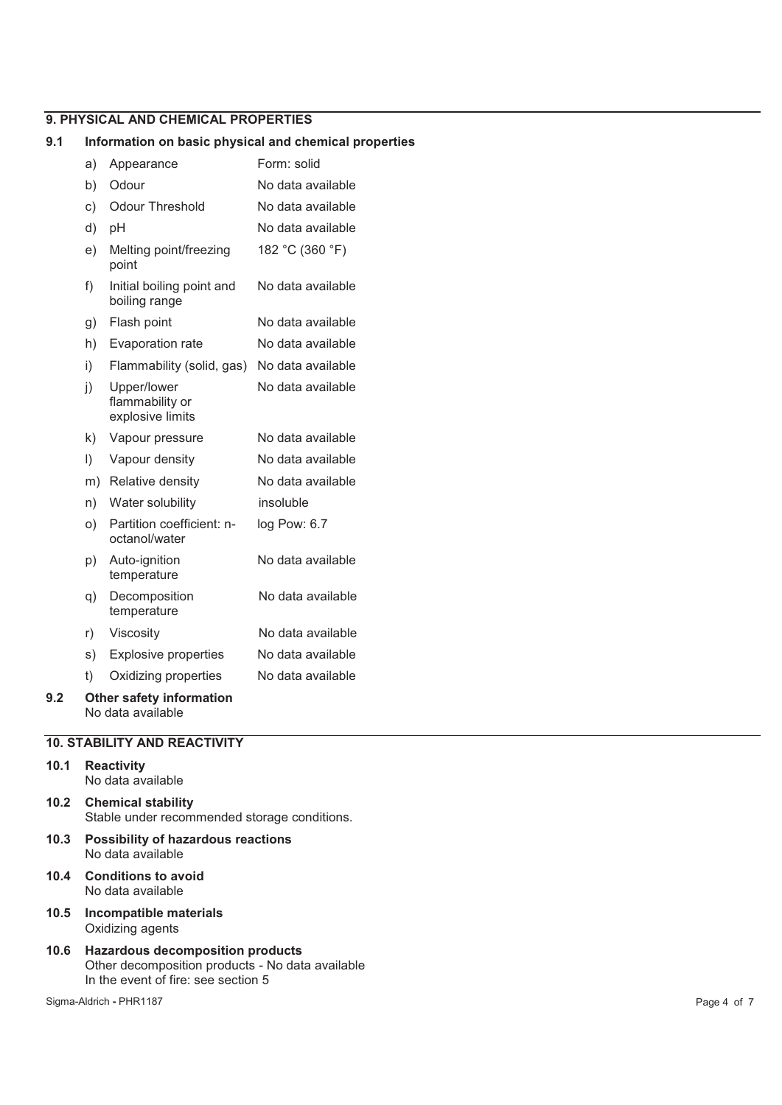# **9. PHYSICAL AND CHEMICAL PROPERTIES**

#### **9.1 Information on basic physical and chemical properties**

|     | a)      | Appearance                                         | Form: solid       |
|-----|---------|----------------------------------------------------|-------------------|
|     | b)      | Odour                                              | No data available |
|     | c)      | <b>Odour Threshold</b>                             | No data available |
|     | d)      | pH                                                 | No data available |
|     | e)      | Melting point/freezing<br>point                    | 182 °C (360 °F)   |
|     | f)      | Initial boiling point and<br>boiling range         | No data available |
|     | g)      | Flash point                                        | No data available |
|     | h)      | Evaporation rate                                   | No data available |
|     | i)      | Flammability (solid, gas)                          | No data available |
|     | j)      | Upper/lower<br>flammability or<br>explosive limits | No data available |
|     | k)      | Vapour pressure                                    | No data available |
|     | $\vert$ | Vapour density                                     | No data available |
|     | m)      | Relative density                                   | No data available |
|     | n)      | Water solubility                                   | insoluble         |
|     | O)      | Partition coefficient: n-<br>octanol/water         | log Pow: 6.7      |
|     | p)      | Auto-ignition<br>temperature                       | No data available |
|     | q)      | Decomposition<br>temperature                       | No data available |
|     | r)      | Viscosity                                          | No data available |
|     | s)      | <b>Explosive properties</b>                        | No data available |
|     | t)      | Oxidizing properties                               | No data available |
| 9.2 |         | <b>Other safety information</b>                    |                   |

No data available

# **10. STABILITY AND REACTIVITY**

#### **10.1 Reactivity**  No data available

**10.2 Chemical stability**  Stable under recommended storage conditions.

- **10.3 Possibility of hazardous reactions**  No data available
- **10.4 Conditions to avoid**  No data available
- **10.5 Incompatible materials**  Oxidizing agents
- **10.6 Hazardous decomposition products**  Other decomposition products - No data available In the event of fire: see section 5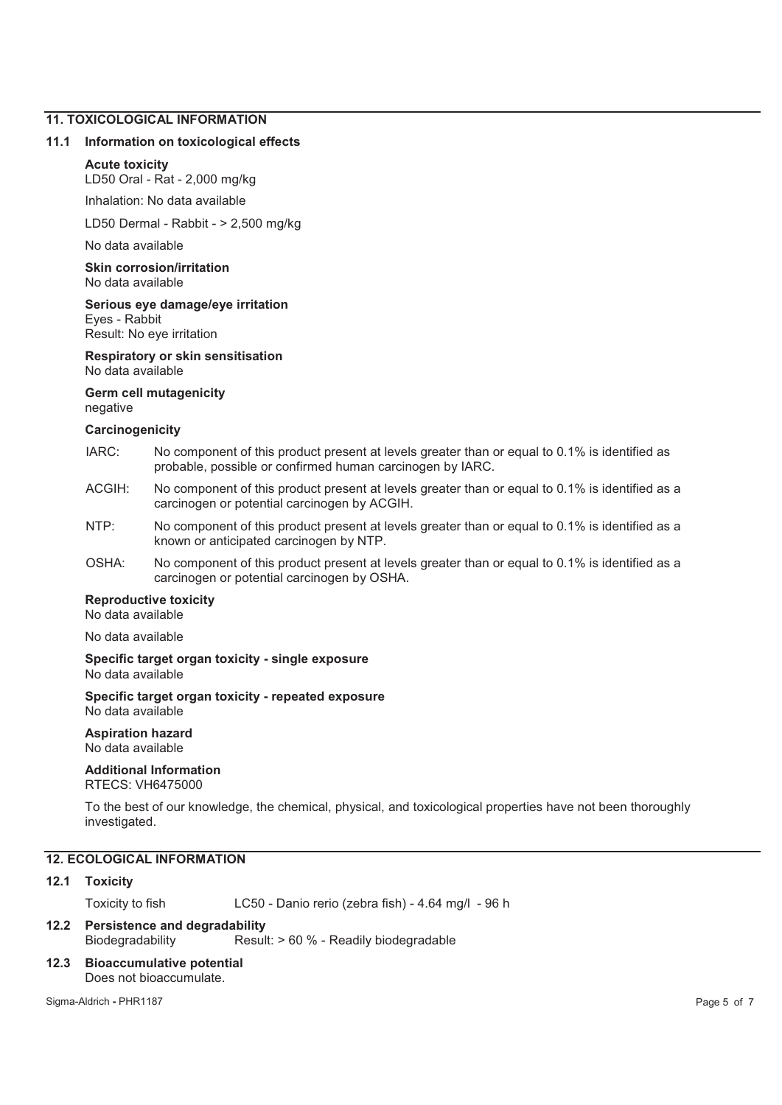# **11. TOXICOLOGICAL INFORMATION**

#### **11.1 Information on toxicological effects**

#### **Acute toxicity**

LD50 Oral - Rat - 2,000 mg/kg

Inhalation: No data available

LD50 Dermal - Rabbit - > 2,500 mg/kg

No data available

**Skin corrosion/irritation**  No data available

**Serious eye damage/eye irritation**  Eyes - Rabbit

Result: No eye irritation

**Respiratory or skin sensitisation**  No data available

#### **Germ cell mutagenicity**  negative

#### **Carcinogenicity**

- IARC: No component of this product present at levels greater than or equal to 0.1% is identified as probable, possible or confirmed human carcinogen by IARC.
- ACGIH: No component of this product present at levels greater than or equal to 0.1% is identified as a carcinogen or potential carcinogen by ACGIH.
- NTP: No component of this product present at levels greater than or equal to 0.1% is identified as a known or anticipated carcinogen by NTP.
- OSHA: No component of this product present at levels greater than or equal to 0.1% is identified as a carcinogen or potential carcinogen by OSHA.

#### **Reproductive toxicity**

No data available

No data available

**Specific target organ toxicity - single exposure**  No data available

#### **Specific target organ toxicity - repeated exposure**  No data available

**Aspiration hazard**  No data available

# **Additional Information**

RTECS: VH6475000

To the best of our knowledge, the chemical, physical, and toxicological properties have not been thoroughly investigated.

# **12. ECOLOGICAL INFORMATION**

#### **12.1 Toxicity**

Toxicity to fish LC50 - Danio rerio (zebra fish) - 4.64 mg/l - 96 h

# **12.2 Persistence and degradability**  Biodegradability Result: > 60 % - Readily biodegradable

**12.3 Bioaccumulative potential**  Does not bioaccumulate.

Sigma-Aldrich **-** PHR1187 Page 5 of 7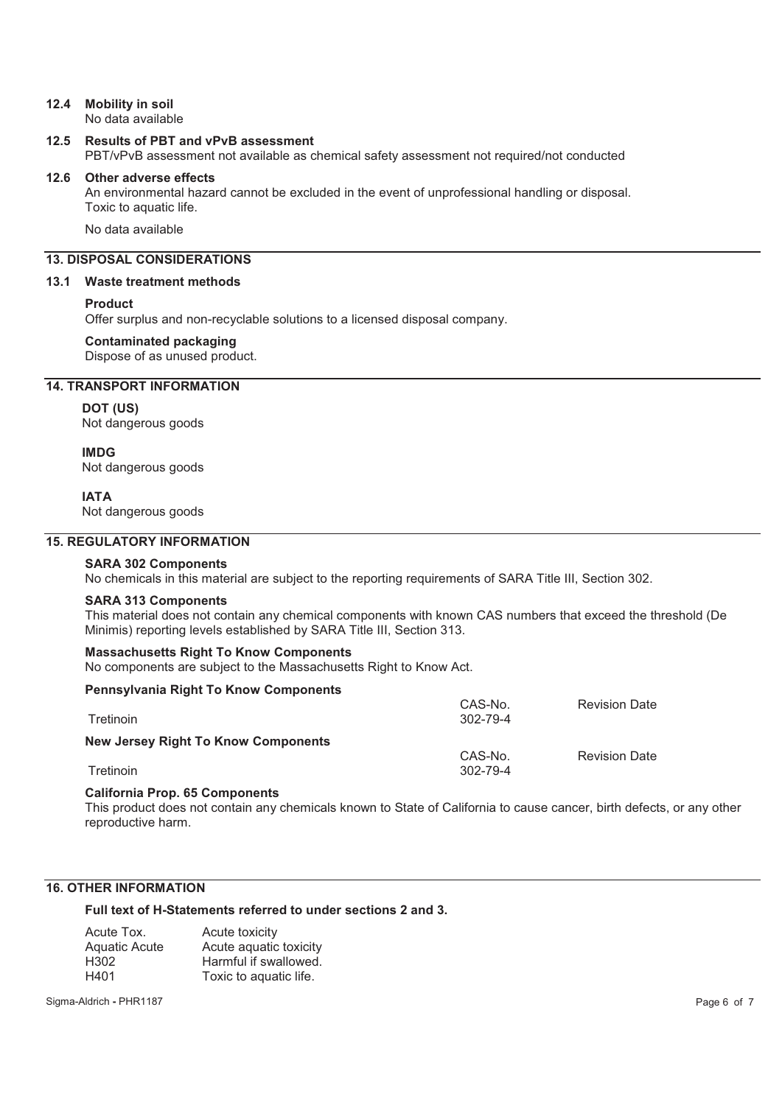# **12.4 Mobility in soil**

No data available

#### **12.5 Results of PBT and vPvB assessment**

PBT/vPvB assessment not available as chemical safety assessment not required/not conducted

#### **12.6 Other adverse effects**

An environmental hazard cannot be excluded in the event of unprofessional handling or disposal. Toxic to aquatic life.

No data available

# **13. DISPOSAL CONSIDERATIONS**

#### **13.1 Waste treatment methods**

#### **Product**

Offer surplus and non-recyclable solutions to a licensed disposal company.

#### **Contaminated packaging**

Dispose of as unused product.

# **14. TRANSPORT INFORMATION**

#### **DOT (US)**

Not dangerous goods

#### **IMDG**

Not dangerous goods

#### **IATA**

Not dangerous goods

# **15. REGULATORY INFORMATION**

#### **SARA 302 Components**

No chemicals in this material are subject to the reporting requirements of SARA Title III, Section 302.

#### **SARA 313 Components**

This material does not contain any chemical components with known CAS numbers that exceed the threshold (De Minimis) reporting levels established by SARA Title III, Section 313.

#### **Massachusetts Right To Know Components**

No components are subject to the Massachusetts Right to Know Act.

#### **Pennsylvania Right To Know Components**

| Tretinoin                           | CAS-No.<br>$302 - 79 - 4$ | <b>Revision Date</b> |
|-------------------------------------|---------------------------|----------------------|
| New Jersey Right To Know Components | CAS-No.                   | <b>Revision Date</b> |
| Tretinoin                           | 302-79-4                  |                      |

#### **California Prop. 65 Components**

This product does not contain any chemicals known to State of California to cause cancer, birth defects, or any other reproductive harm.

# **16. OTHER INFORMATION**

**Full text of H-Statements referred to under sections 2 and 3.** 

| Acute Tox.           | Acute toxicity         |
|----------------------|------------------------|
| <b>Aquatic Acute</b> | Acute aguatic toxicity |
| H302                 | Harmful if swallowed.  |
| H401                 | Toxic to aquatic life. |